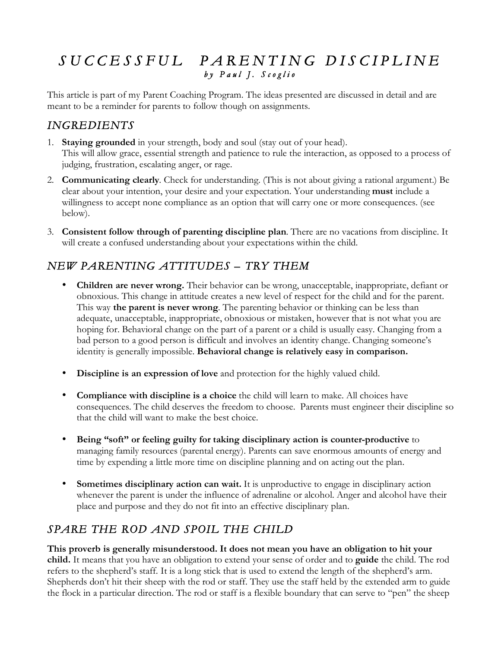# *S U C C E S S F U L P A R E N T IN G D IS CIP L IN E*

This article is part of my Parent Coaching Program. The ideas presented are discussed in detail and are meant to be a reminder for parents to follow though on assignments.

#### *INGREDIENTS*

- 1. **Staying grounded** in your strength, body and soul (stay out of your head). This will allow grace, essential strength and patience to rule the interaction, as opposed to a process of judging, frustration, escalating anger, or rage.
- 2. **Communicating clearly**. Check for understanding. (This is not about giving a rational argument.) Be clear about your intention, your desire and your expectation. Your understanding **must** include a willingness to accept none compliance as an option that will carry one or more consequences. (see below).
- 3. **Consistent follow through of parenting discipline plan**. There are no vacations from discipline. It will create a confused understanding about your expectations within the child.

#### *NEW PARENTING ATTITUDES – TRY THEM*

- **Children are never wrong.** Their behavior can be wrong, unacceptable, inappropriate, defiant or obnoxious. This change in attitude creates a new level of respect for the child and for the parent. This way **the parent is never wrong**. The parenting behavior or thinking can be less than adequate, unacceptable, inappropriate, obnoxious or mistaken, however that is not what you are hoping for. Behavioral change on the part of a parent or a child is usually easy. Changing from a bad person to a good person is difficult and involves an identity change. Changing someone's identity is generally impossible. **Behavioral change is relatively easy in comparison.**
- **Discipline is an expression of love** and protection for the highly valued child.
- **Compliance with discipline is a choice** the child will learn to make. All choices have consequences. The child deserves the freedom to choose. Parents must engineer their discipline so that the child will want to make the best choice.
- **Being "soft" or feeling guilty for taking disciplinary action is counter-productive** to managing family resources (parental energy). Parents can save enormous amounts of energy and time by expending a little more time on discipline planning and on acting out the plan.
- **Sometimes disciplinary action can wait.** It is unproductive to engage in disciplinary action whenever the parent is under the influence of adrenaline or alcohol. Anger and alcohol have their place and purpose and they do not fit into an effective disciplinary plan.

## *SPARE THE ROD AND SPOIL THE CHILD*

**This proverb is generally misunderstood. It does not mean you have an obligation to hit your child.** It means that you have an obligation to extend your sense of order and to **guide** the child. The rod refers to the shepherd's staff. It is a long stick that is used to extend the length of the shepherd's arm. Shepherds don't hit their sheep with the rod or staff. They use the staff held by the extended arm to guide the flock in a particular direction. The rod or staff is a flexible boundary that can serve to "pen" the sheep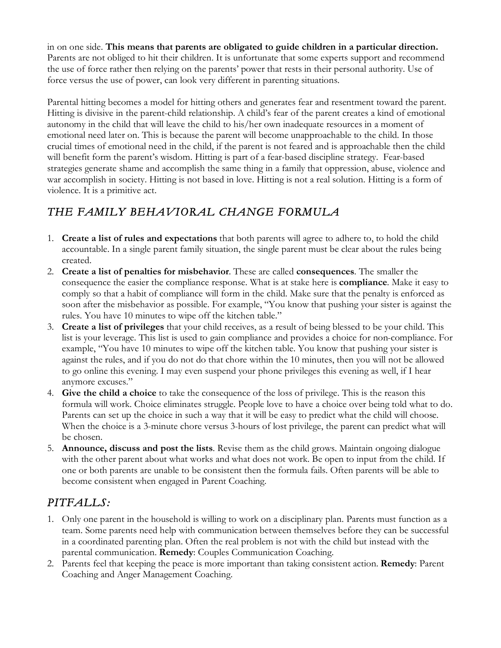in on one side. **This means that parents are obligated to guide children in a particular direction.** Parents are not obliged to hit their children. It is unfortunate that some experts support and recommend the use of force rather then relying on the parents' power that rests in their personal authority. Use of force versus the use of power, can look very different in parenting situations.

Parental hitting becomes a model for hitting others and generates fear and resentment toward the parent. Hitting is divisive in the parent-child relationship. A child's fear of the parent creates a kind of emotional autonomy in the child that will leave the child to his/her own inadequate resources in a moment of emotional need later on. This is because the parent will become unapproachable to the child. In those crucial times of emotional need in the child, if the parent is not feared and is approachable then the child will benefit form the parent's wisdom. Hitting is part of a fear-based discipline strategy. Fear-based strategies generate shame and accomplish the same thing in a family that oppression, abuse, violence and war accomplish in society. Hitting is not based in love. Hitting is not a real solution. Hitting is a form of violence. It is a primitive act.

## *THE FAMILY BEHAVIORAL CHANGE FORMULA*

- 1. **Create a list of rules and expectations** that both parents will agree to adhere to, to hold the child accountable. In a single parent family situation, the single parent must be clear about the rules being created.
- 2. **Create a list of penalties for misbehavior**. These are called **consequences**. The smaller the consequence the easier the compliance response. What is at stake here is **compliance**. Make it easy to comply so that a habit of compliance will form in the child. Make sure that the penalty is enforced as soon after the misbehavior as possible. For example, "You know that pushing your sister is against the rules. You have 10 minutes to wipe off the kitchen table."
- 3. **Create a list of privileges** that your child receives, as a result of being blessed to be your child. This list is your leverage. This list is used to gain compliance and provides a choice for non-compliance. For example, "You have 10 minutes to wipe off the kitchen table. You know that pushing your sister is against the rules, and if you do not do that chore within the 10 minutes, then you will not be allowed to go online this evening. I may even suspend your phone privileges this evening as well, if I hear anymore excuses."
- 4. **Give the child a choice** to take the consequence of the loss of privilege. This is the reason this formula will work. Choice eliminates struggle. People love to have a choice over being told what to do. Parents can set up the choice in such a way that it will be easy to predict what the child will choose. When the choice is a 3-minute chore versus 3-hours of lost privilege, the parent can predict what will be chosen.
- 5. **Announce, discuss and post the lists**. Revise them as the child grows. Maintain ongoing dialogue with the other parent about what works and what does not work. Be open to input from the child. If one or both parents are unable to be consistent then the formula fails. Often parents will be able to become consistent when engaged in Parent Coaching.

## *PITFALLS:*

- 1. Only one parent in the household is willing to work on a disciplinary plan. Parents must function as a team. Some parents need help with communication between themselves before they can be successful in a coordinated parenting plan. Often the real problem is not with the child but instead with the parental communication. **Remedy**: Couples Communication Coaching.
- 2. Parents feel that keeping the peace is more important than taking consistent action. **Remedy**: Parent Coaching and Anger Management Coaching.